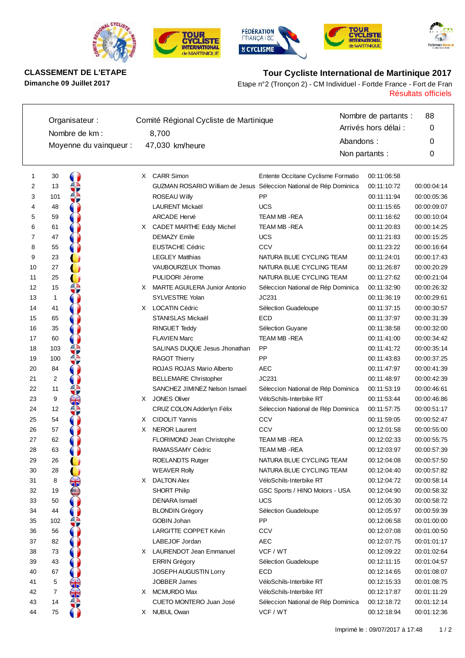









**CLASSEMENT DE L'ETAPE Tour Cycliste International de Martinique 2017**

Résultats officiels **Dimanche 09 Juillet 2017** Etape n°2 (Tronçon 2) - CM Individuel - Fortde France - Fort de Fran

|    | Organisateur: |                        | Comité Régional Cycliste de Martinique |                                                                    |                                    | Nombre de partants : |             |
|----|---------------|------------------------|----------------------------------------|--------------------------------------------------------------------|------------------------------------|----------------------|-------------|
|    |               | Nombre de km :         |                                        |                                                                    |                                    | Arrivés hors délai : | 0           |
|    |               |                        |                                        | 8,700                                                              |                                    | Abandons:            | 0           |
|    |               | Moyenne du vainqueur : |                                        | 47,030 km/heure                                                    |                                    | Non partants :       | 0           |
|    |               |                        |                                        |                                                                    |                                    |                      |             |
| 1  | 30            |                        | X.                                     | <b>CARR Simon</b>                                                  | Entente Occitane Cyclisme Formatio | 00:11:06:58          |             |
| 2  | 13            |                        |                                        | GUZMAN ROSARIO William de Jesus Séleccion National de Rép Dominica |                                    | 00:11:10:72          | 00:00:04:14 |
| 3  | 101           |                        |                                        | <b>ROSEAU Willy</b>                                                | PP                                 | 00:11:11:94          | 00:00:05:36 |
| 4  | 48            |                        |                                        | <b>LAURENT Mickaël</b>                                             | <b>UCS</b>                         | 00:11:15:65          | 00:00:09:07 |
| 5  | 59            |                        |                                        | <b>ARCADE Hervé</b>                                                | TEAM MB - REA                      | 00:11:16:62          | 00:00:10:04 |
| 6  | 61            |                        | X.                                     | CADET MARTHE Eddy Michel                                           | TEAM MB - REA                      | 00:11:20:83          | 00:00:14:25 |
| 7  | 47            |                        |                                        | <b>DEMAZY Emile</b>                                                | <b>UCS</b>                         | 00:11:21:83          | 00:00:15:25 |
| 8  | 55            |                        |                                        | <b>EUSTACHE Cédric</b>                                             | CCV                                | 00:11:23:22          | 00:00:16:64 |
| 9  | 23            |                        |                                        | <b>LEGLEY Matthias</b>                                             | NATURA BLUE CYCLING TEAM           | 00:11:24:01          | 00:00:17:43 |
| 10 | 27            |                        |                                        | VAUBOURZEUX Thomas                                                 | NATURA BLUE CYCLING TEAM           | 00:11:26:87          | 00:00:20:29 |
| 11 | 25            |                        |                                        | PULIDORI Jérome                                                    | NATURA BLUE CYCLING TEAM           | 00:11:27:62          | 00:00:21:04 |
| 12 | 15            |                        |                                        | X MARTE AGUILERA Junior Antonio                                    | Séleccion National de Rép Dominica | 00:11:32:90          | 00:00:26:32 |
| 13 | $\mathbf{1}$  |                        |                                        | SYLVESTRE Yolan                                                    | JC231                              | 00:11:36:19          | 00:00:29:61 |
| 14 | 41            |                        |                                        | X LOCATIN Cédric                                                   | Sélection Guadeloupe               | 00:11:37:15          | 00:00:30:57 |
| 15 | 65            |                        |                                        | STANISLAS Mickaël                                                  | <b>ECD</b>                         | 00:11:37:97          | 00:00:31:39 |
| 16 | 35            |                        |                                        | <b>RINGUET Teddy</b>                                               | Sélection Guyane                   | 00:11:38:58          | 00:00:32:00 |
| 17 | 60            |                        |                                        | <b>FLAVIEN Marc</b>                                                | TEAM MB - REA                      | 00:11:41:00          | 00:00:34:42 |
| 18 | 103           |                        |                                        | SALINAS DUQUE Jesus Jhonathan                                      | PP                                 | 00:11:41:72          | 00:00:35:14 |
| 19 | 100           |                        |                                        | <b>RAGOT Thierry</b>                                               | PP                                 | 00:11:43:83          | 00:00:37:25 |
| 20 | 84            |                        |                                        | ROJAS ROJAS Mario Alberto                                          | <b>AEC</b>                         | 00:11:47:97          | 00:00:41:39 |
| 21 | 2             |                        |                                        | <b>BELLEMARE Christopher</b>                                       | JC231                              | 00:11:48:97          | 00:00:42:39 |
| 22 | 11            |                        |                                        | SANCHEZ JIMINEZ Nelson Ismael                                      | Séleccion National de Rép Dominica | 00:11:53:19          | 00:00:46:61 |
| 23 | 9             | ₩                      | X.                                     | <b>JONES Oliver</b>                                                | VéloSchils-Interbike RT            | 00:11:53:44          | 00:00:46:86 |
| 24 | 12            |                        |                                        | CRUZ COLON Adderlyn Félix                                          | Séleccion National de Rép Dominica | 00:11:57:75          | 00:00:51:17 |
| 25 | 54            |                        | X.                                     | <b>CIDOLIT Yannis</b>                                              | CCV                                | 00:11:59:05          | 00:00:52:47 |
| 26 | 57            |                        | X                                      | <b>NEROR Laurent</b>                                               | CCV                                | 00:12:01:58          | 00:00:55:00 |
| 27 | 62            |                        |                                        | FLORIMOND Jean Christophe                                          | <b>TEAM MB - REA</b>               | 00:12:02:33          | 00:00:55:75 |
| 28 | 63            |                        |                                        | RAMASSAMY Cédric                                                   | <b>TEAM MB - REA</b>               | 00:12:03:97          | 00:00:57:39 |
| 29 | 26            |                        |                                        | <b>ROELANDTS Rutger</b>                                            | NATURA BLUE CYCLING TEAM           | 00:12:04:08          | 00:00:57:50 |
| 30 | 28            |                        |                                        | <b>WEAVER Rolly</b>                                                | NATURA BLUE CYCLING TEAM           | 00:12:04:40          | 00:00:57:82 |
| 31 | 8             |                        | X.                                     | <b>DALTON Alex</b>                                                 | VéloSchils-Interbike RT            | 00:12:04:72          | 00:00:58:14 |
| 32 | 19            |                        |                                        | <b>SHORT Philip</b>                                                | GSC Sports / HINO Motors - USA     | 00:12:04:90          | 00:00:58:32 |
| 33 | 50            |                        |                                        | DENARA Ismaël                                                      | <b>UCS</b>                         | 00:12:05:30          | 00:00:58:72 |
| 34 | 44            |                        |                                        | <b>BLONDIN Grégory</b>                                             | Sélection Guadeloupe               | 00:12:05:97          | 00:00:59:39 |
| 35 | 102           |                        |                                        | <b>GOBIN Johan</b>                                                 | PP                                 | 00:12:06:58          | 00:01:00:00 |
| 36 | 56            |                        |                                        | LARGITTE COPPET Kévin                                              | CCV                                | 00:12:07:08          | 00:01:00:50 |
| 37 | 82            |                        |                                        | LABEJOF Jordan                                                     | <b>AEC</b>                         | 00:12:07:75          | 00:01:01:17 |
| 38 | 73            |                        | X.                                     | <b>LAURENDOT Jean Emmanuel</b>                                     | VCF / WT                           | 00:12:09:22          | 00:01:02:64 |
| 39 | 43            |                        |                                        | <b>ERRIN Grégory</b>                                               | Sélection Guadeloupe               | 00:12:11:15          | 00:01:04:57 |
| 40 | 67            |                        |                                        | <b>JOSEPH AUGUSTIN Lorry</b>                                       | ECD                                | 00:12:14:65          | 00:01:08:07 |
| 41 | 5             |                        |                                        | JOBBER James                                                       | VéloSchils-Interbike RT            | 00:12:15:33          | 00:01:08:75 |
| 42 | 7             | 邵东                     | X.                                     | <b>MCMURDO Max</b>                                                 | VéloSchils-Interbike RT            | 00:12:17:87          | 00:01:11:29 |
| 43 | 14            |                        |                                        | CUETO MONTERO Juan José                                            | Séleccion National de Rép Dominica | 00:12:18:72          | 00:01:12:14 |
| 44 | 75            |                        |                                        | X NUBUL Owan                                                       | VCF / WT                           | 00:12:18:94          | 00:01:12:36 |
|    |               |                        |                                        |                                                                    |                                    |                      |             |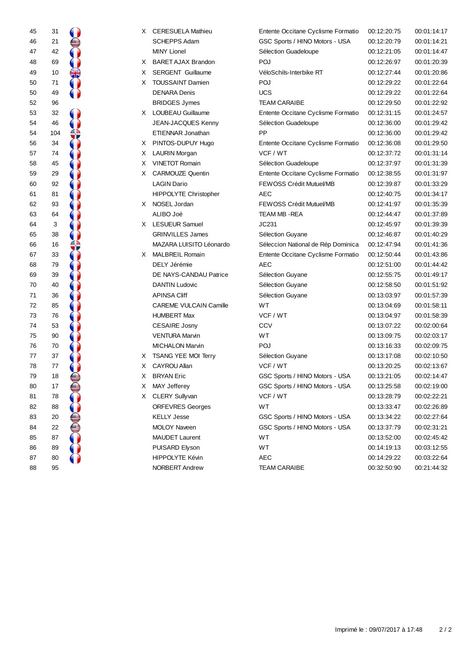| 45                                           |                                                                                     |  |
|----------------------------------------------|-------------------------------------------------------------------------------------|--|
|                                              |                                                                                     |  |
| 46 47 48 49 50 50 52 53 54 54 56 57 58 59 60 | 31 21 42 69 10 71 49                                                                |  |
|                                              |                                                                                     |  |
|                                              |                                                                                     |  |
|                                              |                                                                                     |  |
|                                              |                                                                                     |  |
|                                              |                                                                                     |  |
|                                              |                                                                                     |  |
|                                              |                                                                                     |  |
|                                              |                                                                                     |  |
|                                              |                                                                                     |  |
|                                              |                                                                                     |  |
|                                              |                                                                                     |  |
|                                              |                                                                                     |  |
|                                              |                                                                                     |  |
|                                              |                                                                                     |  |
|                                              |                                                                                     |  |
|                                              |                                                                                     |  |
|                                              |                                                                                     |  |
|                                              |                                                                                     |  |
|                                              |                                                                                     |  |
| 616263646666788970717273747576777879         | 96 32 46 104 34 74 45 29 92 81 93 64 3 38 16 33 79 39 40 36 85 76 53 90 70 37 77 18 |  |
|                                              |                                                                                     |  |
|                                              |                                                                                     |  |
|                                              |                                                                                     |  |
|                                              |                                                                                     |  |
|                                              |                                                                                     |  |
|                                              |                                                                                     |  |
|                                              |                                                                                     |  |
|                                              |                                                                                     |  |
|                                              |                                                                                     |  |
|                                              |                                                                                     |  |
|                                              |                                                                                     |  |
|                                              |                                                                                     |  |
| 80                                           | 17                                                                                  |  |
| 81                                           | 78                                                                                  |  |
| 82                                           | 88                                                                                  |  |
| 83                                           | 20                                                                                  |  |
| 84                                           | 22                                                                                  |  |
| 85                                           | 87                                                                                  |  |
| 86                                           | 89                                                                                  |  |
| 87                                           | 80                                                                                  |  |
| 88                                           | 95                                                                                  |  |

| 45 | 31  | X. | <b>CERESUELA Mathieu</b>      | Entente Occitane Cyclisme Formatio | 00:12:20:75 | 00:01:14:17 |
|----|-----|----|-------------------------------|------------------------------------|-------------|-------------|
| 46 | 21  |    | <b>SCHEPPS Adam</b>           | GSC Sports / HINO Motors - USA     | 00:12:20:79 | 00:01:14:21 |
| 47 | 42  |    | <b>MINY Lionel</b>            | Sélection Guadeloupe               | 00:12:21:05 | 00:01:14:47 |
| 48 | 69  | X. | <b>BARET AJAX Brandon</b>     | POJ                                | 00:12:26:97 | 00:01:20:39 |
| 49 | 10  | X. | <b>SERGENT Guillaume</b>      | VéloSchils-Interbike RT            | 00:12:27:44 | 00:01:20:86 |
| 50 | 71  | X. | <b>TOUSSAINT Damien</b>       | POJ                                | 00:12:29:22 | 00:01:22:64 |
| 50 | 49  |    | <b>DENARA Denis</b>           | <b>UCS</b>                         | 00:12:29:22 | 00:01:22:64 |
| 52 | 96  |    | <b>BRIDGES Jymes</b>          | <b>TEAM CARAIBE</b>                | 00:12:29:50 | 00:01:22:92 |
| 53 | 32  |    | X LOUBEAU Guillaume           | Entente Occitane Cyclisme Formatio | 00:12:31:15 | 00:01:24:57 |
| 54 | 46  |    | JEAN-JACQUES Kenny            | Sélection Guadeloupe               | 00:12:36:00 | 00:01:29:42 |
| 54 | 104 |    | <b>ETIENNAR Jonathan</b>      | <b>PP</b>                          | 00:12:36:00 | 00:01:29:42 |
| 56 | 34  |    | X PINTOS-DUPUY Hugo           | Entente Occitane Cyclisme Formatio | 00:12:36:08 | 00:01:29:50 |
| 57 | 74  | X. | <b>LAURIN Morgan</b>          | VCF / WT                           | 00:12:37:72 | 00:01:31:14 |
| 58 | 45  | X. | <b>VINETOT Romain</b>         | Sélection Guadeloupe               | 00:12:37:97 | 00:01:31:39 |
| 59 | 29  | X. | <b>CARMOUZE Quentin</b>       | Entente Occitane Cyclisme Formatio | 00:12:38:55 | 00:01:31:97 |
| 60 | 92  |    | <b>LAGIN Dario</b>            | FEWOSS Crédit Mutuel/MB            | 00:12:39:87 | 00:01:33:29 |
| 61 | 81  |    | <b>HIPPOLYTE Christopher</b>  | <b>AEC</b>                         | 00:12:40:75 | 00:01:34:17 |
| 62 | 93  |    | X NOSEL Jordan                | FEWOSS Crédit Mutuel/MB            | 00:12:41:97 | 00:01:35:39 |
| 63 | 64  |    | ALIBO Joé                     | TEAM MB - REA                      | 00:12:44:47 | 00:01:37:89 |
| 64 | 3   |    | X LESUEUR Samuel              | JC231                              | 00:12:45:97 | 00:01:39:39 |
| 65 | 38  |    | <b>GRINVILLES James</b>       | Sélection Guyane                   | 00:12:46:87 | 00:01:40:29 |
| 66 | 16  |    | MAZARA LUISITO Léonardo       | Séleccion National de Rép Dominica | 00:12:47:94 | 00:01:41:36 |
| 67 | 33  | X. | <b>MALBREIL Romain</b>        | Entente Occitane Cyclisme Formatio | 00:12:50:44 | 00:01:43:86 |
| 68 | 79  |    | DELY Jérémie                  | <b>AEC</b>                         | 00:12:51:00 | 00:01:44:42 |
| 69 | 39  |    | DE NAYS-CANDAU Patrice        | Sélection Guyane                   | 00:12:55:75 | 00:01:49:17 |
| 70 | 40  |    | <b>DANTIN Ludovic</b>         | Sélection Guyane                   | 00:12:58:50 | 00:01:51:92 |
| 71 | 36  |    | <b>APINSA Cliff</b>           | Sélection Guyane                   | 00:13:03:97 | 00:01:57:39 |
| 72 | 85  |    | <b>CAREME VULCAIN Camille</b> | WT                                 | 00:13:04:69 | 00:01:58:11 |
| 73 | 76  |    | <b>HUMBERT Max</b>            | VCF / WT                           | 00:13:04:97 | 00:01:58:39 |
| 74 | 53  |    | <b>CESAIRE Josny</b>          | CCV                                | 00:13:07:22 | 00:02:00:64 |
| 75 | 90  |    | <b>VENTURA Marvin</b>         | WT                                 | 00:13:09:75 | 00:02:03:17 |
| 76 | 70  |    | <b>MICHALON Marvin</b>        | POJ                                | 00:13:16:33 | 00:02:09:75 |
| 77 | 37  | X. | <b>TSANG YEE MOI Terry</b>    | Sélection Guyane                   | 00:13:17:08 | 00:02:10:50 |
| 78 | 77  | X. | <b>CAYROU Allan</b>           | VCF / WT                           | 00:13:20:25 | 00:02:13:67 |
| 79 | 18  | X. | <b>BRYAN</b> Eric             | GSC Sports / HINO Motors - USA     | 00:13:21:05 | 00:02:14:47 |
| 80 | 17  |    | X MAY Jefferey                | GSC Sports / HINO Motors - USA     | 00:13:25:58 | 00:02:19:00 |
| 81 | 78  | X. | <b>CLERY Sullyvan</b>         | VCF / WT                           | 00:13:28:79 | 00:02:22:21 |
| 82 | 88  |    | <b>ORFEVRES Georges</b>       | WT.                                | 00:13:33:47 | 00:02:26:89 |
| 83 | 20  |    | <b>KELLY Jesse</b>            | GSC Sports / HINO Motors - USA     | 00:13:34:22 | 00:02:27:64 |
| 84 | 22  |    | <b>MOLOY Naveen</b>           | GSC Sports / HINO Motors - USA     | 00:13:37:79 | 00:02:31:21 |
| 85 | 87  |    | <b>MAUDET Laurent</b>         | WT                                 | 00:13:52:00 | 00:02:45:42 |
| 86 | 89  |    | PUISARD Elyson                | WT                                 | 00:14:19:13 | 00:03:12:55 |
| 87 | 80  |    | HIPPOLYTE Kévin               | <b>AEC</b>                         | 00:14:29:22 | 00:03:22:64 |
| 88 | 95  |    | NORBERT Andrew                | <b>TEAM CARAIBE</b>                | 00:32:50:90 | 00:21:44:32 |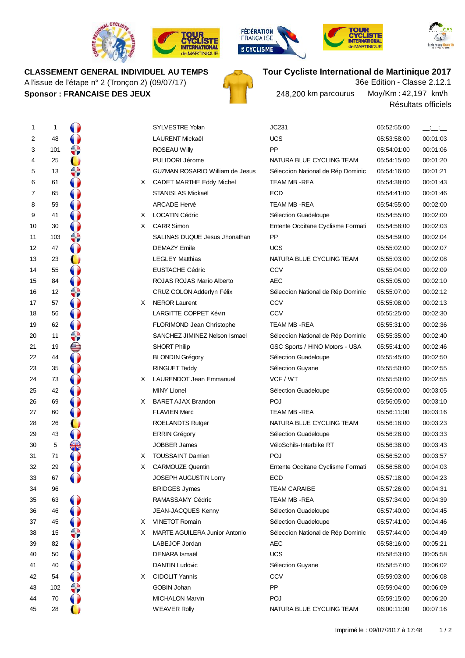









### **CLASSEMENT GENERAL INDIVIDUEL AU TEMPS**

A l'issue de l'étape n° 2 (Tronçon 2) (09/07/17) **Sponsor : FRANCAISE DES JEUX**



# **Tour Cycliste International de Martinique 2017**

Résultats officiels Moy/Km :42,197 km/h 36e Edition - Classe 2.12.1 248,200 km parcourus

| 1  | $\mathbf{1}$ | V         |    | <b>SYLVESTRE Yolan</b>                 | JC231                             | 05:52:55:00 | $\overline{\phantom{a}}$ |
|----|--------------|-----------|----|----------------------------------------|-----------------------------------|-------------|--------------------------|
| 2  | 48           |           |    | LAURENT Mickaël                        | <b>UCS</b>                        | 05:53:58:00 | 00:01:03                 |
| 3  | 101          | ⇔         |    | <b>ROSEAU Willy</b>                    | PP                                | 05:54:01:00 | 00:01:06                 |
| 4  | 25           | O         |    | PULIDORI Jérome                        | NATURA BLUE CYCLING TEAM          | 05:54:15:00 | 00:01:20                 |
| 5  | 13           | ≎         |    | <b>GUZMAN ROSARIO William de Jesus</b> | Séleccion National de Rép Dominic | 05:54:16:00 | 00:01:21                 |
| 6  | 61           |           | X  | CADET MARTHE Eddy Michel               | TEAM MB - REA                     | 05:54:38:00 | 00:01:43                 |
| 7  | 65           | O         |    | STANISLAS Mickaël                      | ECD                               | 05:54:41:00 | 00:01:46                 |
| 8  | 59           |           |    | <b>ARCADE Hervé</b>                    | TEAM MB - REA                     | 05:54:55:00 | 00:02:00                 |
| 9  | 41           |           | X  | <b>LOCATIN Cédric</b>                  | Sélection Guadeloupe              | 05:54:55:00 | 00:02:00                 |
| 10 | 30           |           | X. | <b>CARR Simon</b>                      | Entente Occitane Cyclisme Formati | 05:54:58:00 | 00:02:03                 |
| 11 | 103          |           |    | SALINAS DUQUE Jesus Jhonathan          | <b>PP</b>                         | 05:54:59:00 | 00:02:04                 |
| 12 | 47           |           |    | <b>DEMAZY Emile</b>                    | <b>UCS</b>                        | 05:55:02:00 | 00:02:07                 |
| 13 | 23           | O         |    | <b>LEGLEY Matthias</b>                 | NATURA BLUE CYCLING TEAM          | 05:55:03:00 | 00:02:08                 |
| 14 | 55           |           |    | <b>EUSTACHE Cédric</b>                 | <b>CCV</b>                        | 05:55:04:00 | 00:02:09                 |
| 15 | 84           |           |    | ROJAS ROJAS Mario Alberto              | <b>AEC</b>                        | 05:55:05:00 | 00:02:10                 |
| 16 | 12           | ≎         |    | CRUZ COLON Adderlyn Félix              | Séleccion National de Rép Dominic | 05:55:07:00 | 00:02:12                 |
| 17 | 57           |           | X. | <b>NEROR Laurent</b>                   | <b>CCV</b>                        | 05:55:08:00 | 00:02:13                 |
| 18 | 56           |           |    | LARGITTE COPPET Kévin                  | CCV                               | 05:55:25:00 | 00:02:30                 |
| 19 | 62           |           |    | FLORIMOND Jean Christophe              | TEAM MB - REA                     | 05:55:31:00 | 00:02:36                 |
| 20 | 11           | €         |    | SANCHEZ JIMINEZ Nelson Ismael          | Séleccion National de Rép Dominic | 05:55:35:00 | 00:02:40                 |
| 21 | 19           | ê<br>0    |    | <b>SHORT Philip</b>                    | GSC Sports / HINO Motors - USA    | 05:55:41:00 | 00:02:46                 |
| 22 | 44           |           |    | <b>BLONDIN Grégory</b>                 | Sélection Guadeloupe              | 05:55:45:00 | 00:02:50                 |
| 23 | 35           |           |    | RINGUET Teddy                          | Sélection Guyane                  | 05:55:50:00 | 00:02:55                 |
| 24 | 73           |           | X  | <b>LAURENDOT Jean Emmanuel</b>         | VCF / WT                          | 05:55:50:00 | 00:02:55                 |
| 25 | 42           |           |    | <b>MINY Lionel</b>                     | Sélection Guadeloupe              | 05:56:00:00 | 00:03:05                 |
| 26 | 69           |           | X  | <b>BARET AJAX Brandon</b>              | POJ                               | 05:56:05:00 | 00:03:10                 |
| 27 | 60           |           |    | <b>FLAVIEN Marc</b>                    | TEAM MB - REA                     | 05:56:11:00 | 00:03:16                 |
| 28 | 26           | O         |    | <b>ROELANDTS Rutger</b>                | NATURA BLUE CYCLING TEAM          | 05:56:18:00 | 00:03:23                 |
| 29 | 43           |           |    | <b>ERRIN Grégory</b>                   | Sélection Guadeloupe              | 05:56:28:00 | 00:03:33                 |
| 30 | 5            | €         |    | JOBBER James                           | VéloSchils-Interbike RT           | 05:56:38:00 | 00:03:43                 |
| 31 | 71           |           | X  | <b>TOUSSAINT Damien</b>                | POJ                               | 05:56:52:00 | 00:03:57                 |
| 32 | 29           |           | X  | <b>CARMOUZE Quentin</b>                | Entente Occitane Cyclisme Formati | 05:56:58:00 | 00:04:03                 |
| 33 | 67           | $\bullet$ |    | <b>JOSEPH AUGUSTIN Lorry</b>           | ECD                               | 05:57:18:00 | 00:04:23                 |
| 34 | 96           |           |    | <b>BRIDGES Jymes</b>                   | <b>TEAM CARAIBE</b>               | 05:57:26:00 | 00:04:31                 |
| 35 | 63           |           |    | RAMASSAMY Cédric                       | TEAM MB - REA                     | 05:57:34:00 | 00:04:39                 |
| 36 | 46           |           |    | JEAN-JACQUES Kenny                     | Sélection Guadeloupe              | 05:57:40:00 | 00:04:45                 |
| 37 | 45           |           | X. | <b>VINETOT Romain</b>                  | Sélection Guadeloupe              | 05:57:41:00 | 00:04:46                 |
| 38 | 15           | v         | X  | <b>MARTE AGUILERA Junior Antonio</b>   | Séleccion National de Rép Dominic | 05:57:44:00 | 00:04:49                 |
| 39 | 82           |           |    | LABEJOF Jordan                         | <b>AEC</b>                        | 05:58:16:00 | 00:05:21                 |
| 40 | 50           |           |    | DENARA Ismaël                          | <b>UCS</b>                        | 05:58:53:00 | 00:05:58                 |
| 41 | 40           |           |    | <b>DANTIN Ludovic</b>                  | Sélection Guyane                  | 05:58:57:00 | 00:06:02                 |
| 42 | 54           |           | X. | <b>CIDOLIT Yannis</b>                  | CCV                               | 05:59:03:00 | 00:06:08                 |
| 43 | 102          | ╬         |    | GOBIN Johan                            | PP                                | 05:59:04:00 | 00:06:09                 |
| 44 | 70           |           |    | <b>MICHALON Marvin</b>                 | <b>POJ</b>                        | 05:59:15:00 | 00:06:20                 |
| 45 | 28           |           |    | <b>WEAVER Rolly</b>                    | NATURA BLUE CYCLING TEAM          | 06:00:11:00 | 00:07:16                 |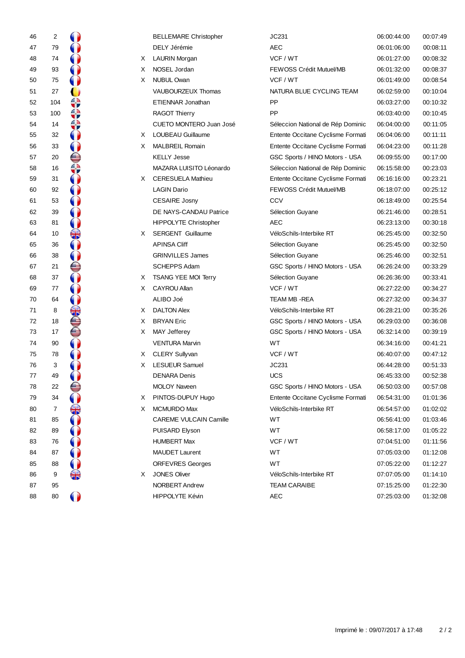| 46 | 2   |                      |    | <b>BELLEMARE Christopher</b> | JC231                             | 06:00:44:00 | 00:07:49 |
|----|-----|----------------------|----|------------------------------|-----------------------------------|-------------|----------|
| 47 | 79  | 0                    |    | DELY Jérémie                 | <b>AEC</b>                        | 06:01:06:00 | 00:08:11 |
| 48 | 74  |                      | X. | <b>LAURIN Morgan</b>         | VCF / WT                          | 06:01:27:00 | 00:08:32 |
| 49 | 93  |                      | X  | NOSEL Jordan                 | FEWOSS Crédit Mutuel/MB           | 06:01:32:00 | 00:08:37 |
| 50 | 75  |                      | X  | <b>NUBUL Owan</b>            | VCF / WT                          | 06:01:49:00 | 00:08:54 |
| 51 | 27  |                      |    | VAUBOURZEUX Thomas           | NATURA BLUE CYCLING TEAM          | 06:02:59:00 | 00:10:04 |
| 52 | 104 | ↔                    |    | ETIENNAR Jonathan            | PP                                | 06:03:27:00 | 00:10:32 |
| 53 | 100 | ≎                    |    | <b>RAGOT Thierry</b>         | PP                                | 06:03:40:00 | 00:10:45 |
| 54 | 14  | ₩                    |    | CUETO MONTERO Juan José      | Séleccion National de Rép Dominic | 06:04:00:00 | 00:11:05 |
| 55 | 32  | $\bullet$            | X. | LOUBEAU Guillaume            | Entente Occitane Cyclisme Formati | 06:04:06:00 | 00:11:11 |
| 56 | 33  | $\bf{0}$             | X  | <b>MALBREIL Romain</b>       | Entente Occitane Cyclisme Formati | 06:04:23:00 | 00:11:28 |
| 57 | 20  | ⊜                    |    | <b>KELLY Jesse</b>           | GSC Sports / HINO Motors - USA    | 06:09:55:00 | 00:17:00 |
| 58 | 16  | ♦                    |    | MAZARA LUISITO Léonardo      | Séleccion National de Rép Dominic | 06:15:58:00 | 00:23:03 |
| 59 | 31  | $\mathbf 0$          | X. | <b>CERESUELA Mathieu</b>     | Entente Occitane Cyclisme Formati | 06:16:16:00 | 00:23:21 |
| 60 | 92  | $\bullet$            |    | <b>LAGIN Dario</b>           | FEWOSS Crédit Mutuel/MB           | 06:18:07:00 | 00:25:12 |
| 61 | 53  |                      |    | <b>CESAIRE Josny</b>         | CCV                               | 06:18:49:00 | 00:25:54 |
| 62 | 39  |                      |    | DE NAYS-CANDAU Patrice       | Sélection Guyane                  | 06:21:46:00 | 00:28:51 |
| 63 | 81  | 0                    |    | <b>HIPPOLYTE Christopher</b> | AEC                               | 06:23:13:00 | 00:30:18 |
| 64 | 10  | $\frac{1}{\sqrt{2}}$ | X. | <b>SERGENT Guillaume</b>     | VéloSchils-Interbike RT           | 06:25:45:00 | 00:32:50 |
| 65 | 36  | $\bullet$            |    | <b>APINSA Cliff</b>          | Sélection Guyane                  | 06:25:45:00 | 00:32:50 |
| 66 | 38  | $\bullet$            |    | <b>GRINVILLES James</b>      | Sélection Guyane                  | 06:25:46:00 | 00:32:51 |
| 67 | 21  | ⊜                    |    | <b>SCHEPPS Adam</b>          | GSC Sports / HINO Motors - USA    | 06:26:24:00 | 00:33:29 |
| 68 | 37  | 0                    | X. | TSANG YEE MOI Terry          | Sélection Guyane                  | 06:26:36:00 | 00:33:41 |
| 69 | 77  | 0                    | X. | <b>CAYROU Allan</b>          | VCF / WT                          | 06:27:22:00 | 00:34:27 |
| 70 | 64  |                      |    | ALIBO Joé                    | TEAM MB - REA                     | 06:27:32:00 | 00:34:37 |
| 71 | 8   | €                    | X. | <b>DALTON Alex</b>           | VéloSchils-Interbike RT           | 06:28:21:00 | 00:35:26 |
| 72 | 18  |                      | X  | <b>BRYAN Eric</b>            | GSC Sports / HINO Motors - USA    | 06:29:03:00 | 00:36:08 |
| 73 | 17  | Š                    | X  | <b>MAY Jefferey</b>          | GSC Sports / HINO Motors - USA    | 06:32:14:00 | 00:39:19 |
| 74 | 90  | $\bigcirc$           |    | <b>VENTURA Marvin</b>        | WT.                               | 06:34:16:00 | 00:41:21 |
| 75 | 78  | $\bullet$            | X. | <b>CLERY Sullyvan</b>        | VCF / WT                          | 06:40:07:00 | 00:47:12 |
| 76 | 3   |                      | X  | <b>LESUEUR Samuel</b>        | JC231                             | 06:44:28:00 | 00:51:33 |
| 77 | 49  |                      |    | <b>DENARA Denis</b>          | <b>UCS</b>                        | 06:45:33:00 | 00:52:38 |
| 78 | 22  | U                    |    | <b>MOLOY Naveen</b>          | GSC Sports / HINO Motors - USA    | 06:50:03:00 | 00:57:08 |
| 79 | 34  |                      | X  | PINTOS-DUPUY Hugo            | Entente Occitane Cyclisme Formati | 06:54:31:00 | 01:01:36 |
| 80 | 7   | ╬                    | X. | MCMURDO Max                  | VéloSchils-Interbike RT           | 06:54:57:00 | 01:02:02 |
| 81 | 85  |                      |    | CAREME VULCAIN Camille       | WT                                | 06:56:41:00 | 01:03:46 |
| 82 | 89  |                      |    | PUISARD Elyson               | WT                                | 06:58:17:00 | 01:05:22 |
| 83 | 76  |                      |    | <b>HUMBERT Max</b>           | VCF / WT                          | 07:04:51:00 | 01:11:56 |
| 84 | 87  |                      |    | <b>MAUDET Laurent</b>        | WT                                | 07:05:03:00 | 01:12:08 |
| 85 | 88  |                      |    | <b>ORFEVRES Georges</b>      | WT                                | 07:05:22:00 | 01:12:27 |
| 86 | 9   | ╬                    | X. | <b>JONES Oliver</b>          | VéloSchils-Interbike RT           | 07:07:05:00 | 01:14:10 |
| 87 | 95  |                      |    | NORBERT Andrew               | <b>TEAM CARAIBE</b>               | 07:15:25:00 | 01:22:30 |
| 88 | 80  | $\bullet$            |    | HIPPOLYTE Kévin              | <b>AEC</b>                        | 07:25:03:00 | 01:32:08 |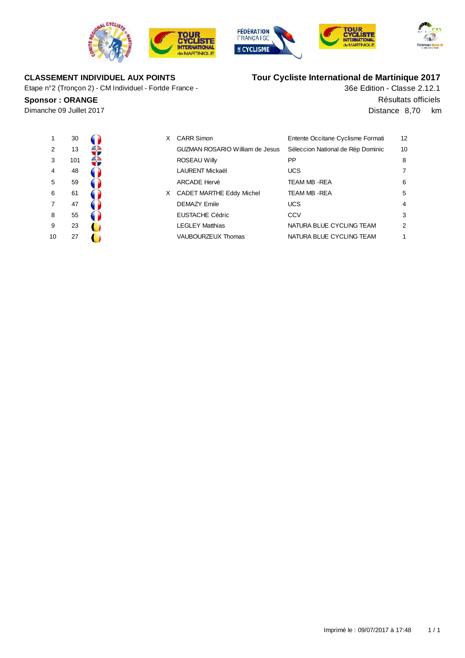







# **CLASSEMENT INDIVIDUEL AUX POINTS**

Etape n°2 (Tronçon 2) - CM Individuel - Fortde France -

# **Tour Cycliste International de Martinique 2017**

36e Edition - Classe 2.12.1 **Sponsor : ORANGE** Résultats officiels Dimanche 09 Juillet 2017 Distance 8,70 km

| 1  | 30  |  |
|----|-----|--|
| 2  | 13  |  |
| 3  | 101 |  |
| 4  | 48  |  |
| 5  | 59  |  |
| 6  | 61  |  |
| 7  | 47  |  |
| 8  | 55  |  |
| 9  | 23  |  |
| 10 | 27  |  |

| $\mathbf 1$    | 30  | X | <b>CARR Simon</b>                      | Entente Occitane Cyclisme Formati | 12             |
|----------------|-----|---|----------------------------------------|-----------------------------------|----------------|
| 2              | 13  |   | <b>GUZMAN ROSARIO William de Jesus</b> | Séleccion National de Rép Dominic | 1 <sup>C</sup> |
| 3              | 101 |   | ROSEAU Willy                           | PP                                | 8              |
| 4              | 48  |   | <b>LAURENT Mickaël</b>                 | <b>UCS</b>                        | 7              |
| 5              | 59  |   | <b>ARCADE Hervé</b>                    | TEAM MB - REA                     | 6              |
| 6              | 61  | X | <b>CADET MARTHE Eddy Michel</b>        | <b>TEAM MB - REA</b>              | 5              |
| $\overline{7}$ | 47  |   | <b>DEMAZY Emile</b>                    | <b>UCS</b>                        | $\overline{4}$ |
| 8              | 55  |   | <b>EUSTACHE Cédric</b>                 | CCV                               | 3              |
| 9              | 23  |   | <b>LEGLEY Matthias</b>                 | NATURA BLUE CYCLING TEAM          | $\overline{2}$ |
| 10             | 27  |   | VAUBOURZEUX Thomas                     | NATURA BLUE CYCLING TEAM          |                |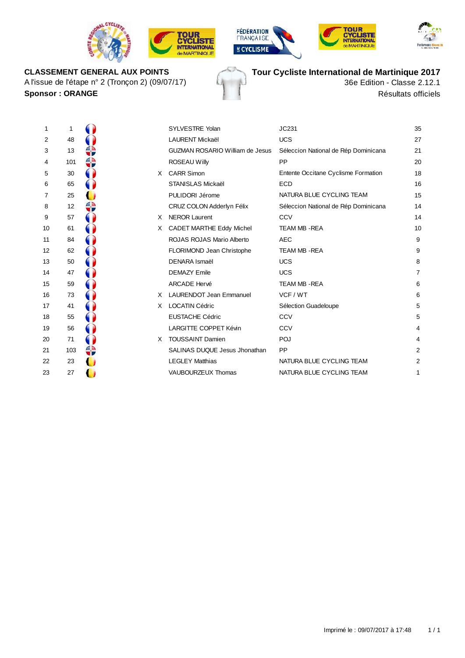









**CLASSEMENT GENERAL AUX POINTS** A l'issue de l'étape n° 2 (Tronçon 2) (09/07/17) **Tour Cycliste International de Martinique 2017**

36e Edition - Classe 2.12.1 **Sponsor :** ORANGE Résultats officiels

| 1              | 1   |   |
|----------------|-----|---|
| $\overline{c}$ | 48  |   |
| 3              | 13  |   |
| 4              | 101 |   |
| 5              | 30  |   |
| 6              | 65  |   |
| $\overline{7}$ | 25  |   |
| 8              | 12  |   |
| 9              | 57  |   |
| 10             | 61  |   |
| 11             | 84  |   |
| 12             | 62  |   |
| 13             | 50  |   |
| 14             | 47  |   |
| 15             | 59  |   |
| 16             | 73  | ĺ |
| 17             | 41  |   |
| 18             | 55  |   |
| 19             | 56  |   |
| 20             | 71  |   |
| 21             | 103 |   |
| 22             | 23  |   |
| 23             | 27  |   |

| 1  | 1   |    | <b>SYLVESTRE Yolan</b>                 | JC231                                | 35             |
|----|-----|----|----------------------------------------|--------------------------------------|----------------|
| 2  | 48  |    | <b>LAURENT Mickaël</b>                 | <b>UCS</b>                           | 27             |
| 3  | 13  |    | <b>GUZMAN ROSARIO William de Jesus</b> | Séleccion National de Rép Dominicana | 21             |
| 4  | 101 |    | ROSEAU Willy                           | <b>PP</b>                            | 20             |
| 5  | 30  | X  | <b>CARR Simon</b>                      | Entente Occitane Cyclisme Formation  | 18             |
| 6  | 65  |    | <b>STANISLAS Mickaël</b>               | <b>ECD</b>                           | 16             |
| 7  | 25  |    | PULIDORI Jérome                        | NATURA BLUE CYCLING TEAM             | 15             |
| 8  | 12  |    | CRUZ COLON Adderlyn Félix              | Séleccion National de Rép Dominicana | 14             |
| 9  | 57  | X. | <b>NEROR Laurent</b>                   | CCV                                  | 14             |
| 10 | 61  | X. | CADET MARTHE Eddy Michel               | <b>TEAM MB - REA</b>                 | 10             |
| 11 | 84  |    | ROJAS ROJAS Mario Alberto              | <b>AEC</b>                           | 9              |
| 12 | 62  |    | FLORIMOND Jean Christophe              | <b>TEAM MB - REA</b>                 | 9              |
| 13 | 50  |    | <b>DENARA Ismaël</b>                   | <b>UCS</b>                           | 8              |
| 14 | 47  |    | <b>DEMAZY Emile</b>                    | <b>UCS</b>                           | $\overline{7}$ |
| 15 | 59  |    | <b>ARCADE Hervé</b>                    | <b>TEAM MB-REA</b>                   | 6              |
| 16 | 73  | X. | <b>LAURENDOT Jean Emmanuel</b>         | VCF / WT                             | 6              |
| 17 | 41  | X. | <b>LOCATIN Cédric</b>                  | Sélection Guadeloupe                 | 5              |
| 18 | 55  |    | <b>EUSTACHE Cédric</b>                 | CCV                                  | 5              |
| 19 | 56  |    | <b>LARGITTE COPPET Kévin</b>           | CCV                                  | 4              |
| 20 | 71  | X. | <b>TOUSSAINT Damien</b>                | POJ                                  | 4              |
| 21 | 103 |    | SALINAS DUQUE Jesus Jhonathan          | <b>PP</b>                            | $\overline{2}$ |
| 22 | 23  |    | <b>LEGLEY Matthias</b>                 | NATURA BLUE CYCLING TEAM             | 2              |
| 23 | 27  |    | VAUBOURZEUX Thomas                     | NATURA BLUE CYCLING TEAM             | 1              |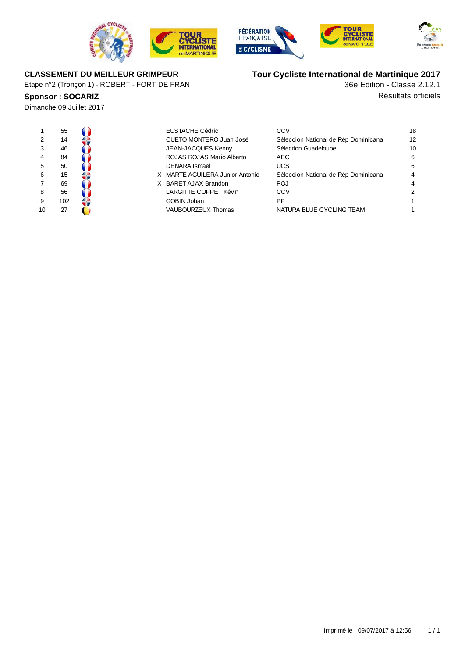







### **CLASSEMENT DU MEILLEUR GRIMPEUR**

Etape n°2 (Tronçon 1) - ROBERT - FORT DE FRAN

Dimanche 09 Juillet 2017

| 1              | 55  |  |
|----------------|-----|--|
| 2              | 14  |  |
| 3              | 46  |  |
| 4              | 84  |  |
| 5              | 50  |  |
| 6              | 15  |  |
| $\overline{7}$ | 69  |  |
| 8              | 56  |  |
| 9              | 102 |  |
| 10             | 27  |  |

| $\mathbf{1}$ | 55  | EUSTACHE Cédric                 | CCV                                  | 18 |
|--------------|-----|---------------------------------|--------------------------------------|----|
| 2            | 14  | CUETO MONTERO Juan José         | Séleccion National de Rép Dominicana | 12 |
| 3            | 46  | <b>JEAN-JACQUES Kenny</b>       | Sélection Guadeloupe                 | 10 |
| 4            | 84  | ROJAS ROJAS Mario Alberto       | AEC.                                 | 6  |
| 5            | 50  | DENARA Ismaël                   | <b>UCS</b>                           | 6  |
| 6            | 15  | X MARTE AGUILERA Junior Antonio | Séleccion National de Rép Dominicana | 4  |
| 7            | 69  | X BARET AJAX Brandon            | <b>POJ</b>                           | 4  |
| 8            | 56  | LARGITTE COPPET Kévin           | CCV                                  | 2  |
| 9            | 102 | <b>GOBIN Johan</b>              | PP                                   |    |
| 10           | 27  | <b>VAUBOURZEUX Thomas</b>       | NATURA BLUE CYCLING TEAM             |    |

# **Tour Cycliste International de Martinique 2017**

**Sponsor : SOCARIZ Résultats officiels** 36e Edition - Classe 2.12.1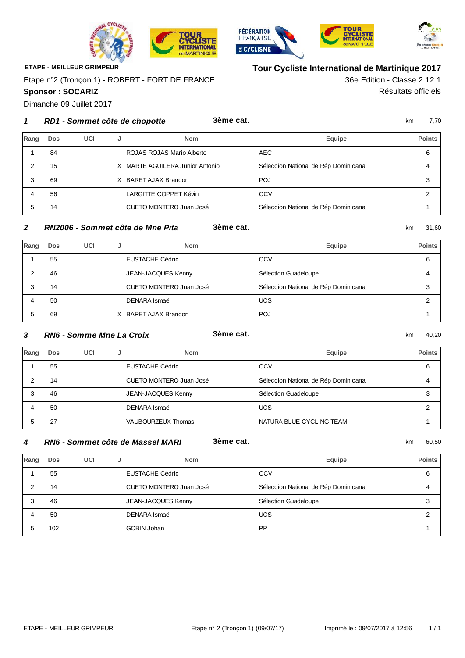





36e Edition - Classe 2.12.1

**Tour Cycliste International de Martinique 2017**



**ETAPE - MEILLEUR GRIMPEUR**

**Sponsor : SOCARIZ** Résultats officiels Etape n°2 (Tronçon 1) - ROBERT - FORT DE FRANCE

Dimanche 09 Juillet 2017

#### km 7,70 **RD1 - Sommet côte de chopotte 3ème cat.**

| Rang | Dos | UCI | <b>Nom</b><br>J                    | Equipe                               | <b>Points</b> |
|------|-----|-----|------------------------------------|--------------------------------------|---------------|
|      | 84  |     | ROJAS ROJAS Mario Alberto          | AEC.                                 | 6             |
|      | 15  |     | MARTE AGUILERA Junior Antonio<br>x | Séleccion National de Rép Dominicana |               |
|      | 69  |     | BARET AJAX Brandon                 | <b>POJ</b>                           | 3             |
|      | 56  |     | LARGITTE COPPET Kévin              | CCV                                  |               |
|      | 14  |     | CUETO MONTERO Juan José            | Séleccion National de Rép Dominicana |               |

### km 31,60 **RN2006 - Sommet côte de Mne Pita 3ème cat.**

| Rang | <b>Dos</b> | UCI | <b>Nom</b><br>s.          | Equipe                               | <b>Points</b> |
|------|------------|-----|---------------------------|--------------------------------------|---------------|
|      | 55         |     | <b>EUSTACHE Cédric</b>    | CCV                                  | 6             |
|      | 46         |     | <b>JEAN-JACQUES Kenny</b> | Sélection Guadeloupe                 |               |
|      | 14         |     | CUETO MONTERO Juan José   | Séleccion National de Rép Dominicana |               |
|      | 50         |     | DENARA Ismaël             | <b>UCS</b>                           |               |
|      | 69         |     | BARET AJAX Brandon<br>x   | <b>POJ</b>                           |               |

#### km 40,20 **RN6 - Somme Mne La Croix 3ème cat.**

| Rang | Dos | UCI | <b>Nom</b>              | Equipe                               | <b>Points</b> |
|------|-----|-----|-------------------------|--------------------------------------|---------------|
|      | 55  |     | EUSTACHE Cédric         | ∣CCV                                 | 6             |
|      | 14  |     | CUETO MONTERO Juan José | Séleccion National de Rép Dominicana |               |
| 3    | 46  |     | JEAN-JACQUES Kenny      | Sélection Guadeloupe                 | Э             |
|      | 50  |     | DENARA Ismaël           | <b>UCS</b>                           |               |
| 5    | 27  |     | VAUBOURZEUX Thomas      | INATURA BLUE CYCLING TEAM            |               |

### km 60,50 **RN6 - Sommet côte de Massel MARI 3ème cat.**

| Rang | Dos | UCI | <b>Nom</b><br>ы         | Equipe                               | <b>Points</b> |
|------|-----|-----|-------------------------|--------------------------------------|---------------|
|      | 55  |     | <b>EUSTACHE Cédric</b>  | <b>CCV</b>                           | 6             |
|      | 14  |     | CUETO MONTERO Juan José | Séleccion National de Rép Dominicana |               |
|      | 46  |     | JEAN-JACQUES Kenny      | Sélection Guadeloupe                 |               |
| 4    | 50  |     | DENARA Ismaël           | <b>UCS</b>                           |               |
|      | 102 |     | <b>GOBIN Johan</b>      | <b>PP</b>                            |               |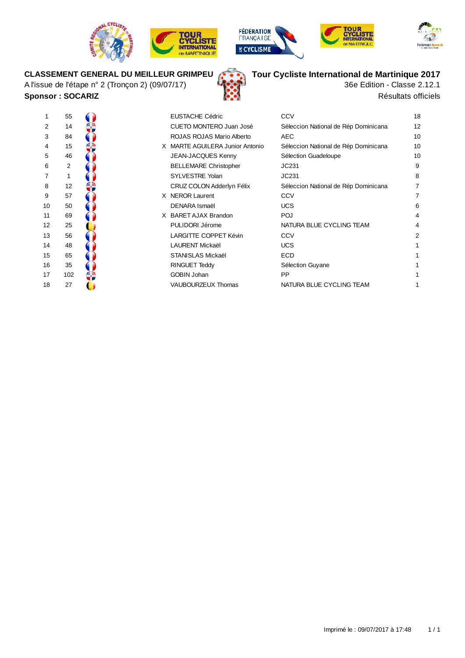









# **CLASSEMENT GENERAL DU MEILLEUR GRIMPEU**

A l'issue de l'étape n° 2 (Tronçon 2) (09/07/17) **Sponsor : SOCARIZ Résultats officiels** 





| 1              | 55             |  |
|----------------|----------------|--|
| $\overline{c}$ | 14             |  |
| 3              | 84             |  |
| $\overline{4}$ | 15             |  |
| 5              | 46             |  |
| 6              | $\overline{2}$ |  |
| $\overline{7}$ | 1              |  |
| 8              | 12             |  |
| 9              | 57             |  |
| 10             | 50             |  |
| 11             | 69             |  |
| 12             | 25             |  |
| 13             | 56             |  |
| 14             | 48             |  |
| 15             | 65             |  |
| 16             | 35             |  |
| 17             | 102            |  |
| <u>"</u>       | ົ              |  |

| 1  | 55  |  | <b>EUSTACHE Cédric</b>          | CCV                                  | 18 |
|----|-----|--|---------------------------------|--------------------------------------|----|
| 2  | 14  |  | CUETO MONTERO Juan José         | Séleccion National de Rép Dominicana | 12 |
| 3  | 84  |  | ROJAS ROJAS Mario Alberto       | <b>AEC</b>                           | 10 |
| 4  | 15  |  | X MARTE AGUILERA Junior Antonio | Séleccion National de Rép Dominicana | 10 |
| 5  | 46  |  | <b>JEAN-JACQUES Kenny</b>       | Sélection Guadeloupe                 | 10 |
| 6  | 2   |  | <b>BELLEMARE Christopher</b>    | JC231                                | 9  |
| 7  |     |  | SYLVESTRE Yolan                 | JC231                                | 8  |
| 8  | 12  |  | CRUZ COLON Adderlyn Félix       | Séleccion National de Rép Dominicana |    |
| 9  | 57  |  | X NEROR Laurent                 | CCV                                  |    |
| 10 | 50  |  | <b>DENARA Ismaël</b>            | <b>UCS</b>                           | 6  |
| 11 | 69  |  | X BARET AJAX Brandon            | <b>POJ</b>                           | 4  |
| 12 | 25  |  | PULIDORI Jérome                 | NATURA BLUE CYCLING TEAM             | 4  |
| 13 | 56  |  | LARGITTE COPPET Kévin           | CCV                                  | 2  |
| 14 | 48  |  | <b>LAURENT Mickaël</b>          | <b>UCS</b>                           |    |
| 15 | 65  |  | STANISLAS Mickaël               | <b>ECD</b>                           |    |
| 16 | 35  |  | <b>RINGUET Teddy</b>            | Sélection Guyane                     |    |
| 17 | 102 |  | <b>GOBIN Johan</b>              | <b>PP</b>                            |    |
| 18 | 27  |  | VAUBOURZEUX Thomas              | NATURA BLUE CYCLING TEAM             |    |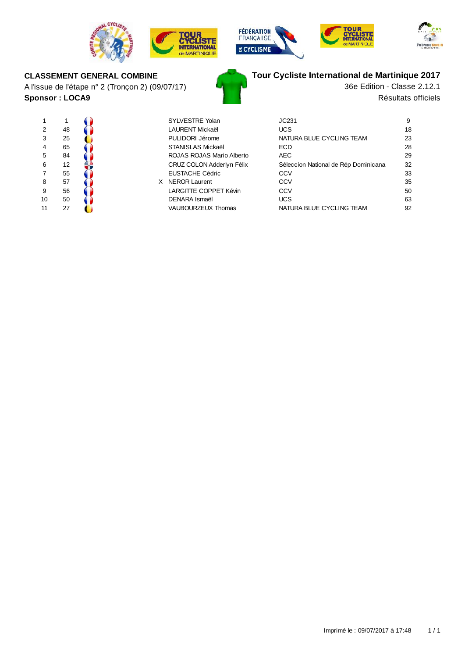







# **CLASSEMENT GENERAL COMBINE**

A l'issue de l'étape n° 2 (Tronçon 2) (09/07/17) **Sponsor : LOCA9**



| SYI VESTRE Yolan          |
|---------------------------|
| I AURENT Mickaël          |
| PULIDORI Jérome           |
| <b>STANISLAS Mickael</b>  |
| ROJAS ROJAS Mario Alberto |
| CRUZ COLON Adderlyn Félix |
| <b>EUSTACHE Cédric</b>    |
| NFROR Laurent             |
| LARGITTE COPPET Kévin     |
|                           |

|                |    |  | <b>SYLVESTRE Yolan</b>       | JC231                                | 9  |
|----------------|----|--|------------------------------|--------------------------------------|----|
| 2              | 48 |  | LAURENT Mickaël              | <b>UCS</b>                           | 18 |
| 3              | 25 |  | PULIDORI Jérome              | NATURA BLUE CYCLING TEAM             | 23 |
| $\overline{4}$ | 65 |  | STANISLAS Mickaël            | <b>ECD</b>                           | 28 |
| 5              | 84 |  | ROJAS ROJAS Mario Alberto    | <b>AEC</b>                           | 29 |
| 6              | 12 |  | CRUZ COLON Adderlyn Félix    | Séleccion National de Rép Dominicana | 32 |
| 7              | 55 |  | <b>EUSTACHE Cédric</b>       | CCV                                  | 33 |
| 8              | 57 |  | <b>NEROR Laurent</b>         | CCV                                  | 35 |
| 9              | 56 |  | <b>LARGITTE COPPET Kévin</b> | CCV                                  | 50 |
| 10             | 50 |  | DENARA Ismaël                | <b>UCS</b>                           | 63 |
| 11             | 27 |  | <b>VAUBOURZEUX Thomas</b>    | NATURA BLUE CYCLING TEAM             | 92 |

# **Tour Cycliste International de Martinique 2017**

Résultats officiels 36e Edition - Classe 2.12.1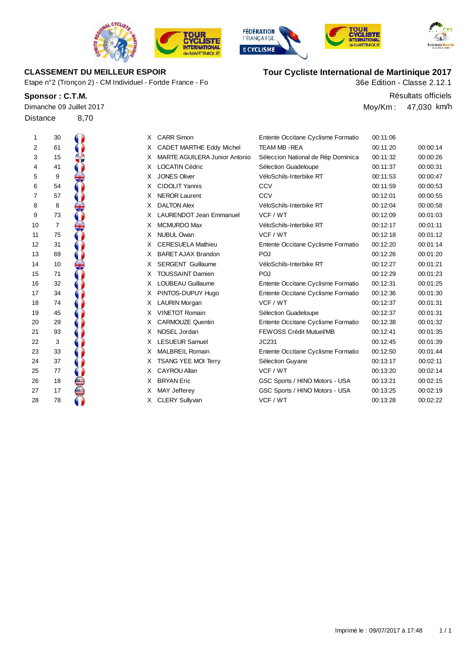

Etape n°2 (Tronçon 2) - CM Individuel - Fortde France - Fo

|                 | Dimanche 09 Juillet 2017 |
|-----------------|--------------------------|
| <b>Distance</b> | 8.70                     |







# **CLASSEMENT DU MEILLEUR ESPOIR Tour Cycliste International de Martinique 2017**

36e Edition - Classe 2.12.1

**Sponsor : C.T.M.** Résultats officiels Moy/Km : 47,030 km/h

| $\mathbf 1$ | 30             | X. | <b>CARR Simon</b>                    | Entente Occitane Cyclisme Formatio | 00:11:06 |          |
|-------------|----------------|----|--------------------------------------|------------------------------------|----------|----------|
| 2           | 61             | X. | CADET MARTHE Eddy Michel             | TEAM MB-REA                        | 00:11:20 | 00:00:14 |
| 3           | 15             | X. | <b>MARTE AGUILERA Junior Antonio</b> | Séleccion National de Rép Dominica | 00:11:32 | 00:00:26 |
| 4           | 41             | X. | <b>LOCATIN Cédric</b>                | Sélection Guadeloupe               | 00:11:37 | 00:00:31 |
| 5           | 9              | X. | <b>JONES Oliver</b>                  | VéloSchils-Interbike RT            | 00:11:53 | 00:00:47 |
| 6           | 54             | X. | <b>CIDOLIT Yannis</b>                | CCV                                | 00:11:59 | 00:00:53 |
| 7           | 57             | X. | <b>NEROR Laurent</b>                 | CCV                                | 00:12:01 | 00:00:55 |
| 8           | 8              | X. | <b>DALTON Alex</b>                   | VéloSchils-Interbike RT            | 00:12:04 | 00:00:58 |
| 9           | 73             | X. | <b>LAURENDOT Jean Emmanuel</b>       | VCF / WT                           | 00:12:09 | 00:01:03 |
| 10          | $\overline{7}$ | X. | <b>MCMURDO Max</b>                   | VéloSchils-Interbike RT            | 00:12:17 | 00:01:11 |
| 11          | 75             | X. | <b>NUBUL Owan</b>                    | VCF / WT                           | 00:12:18 | 00:01:12 |
| 12          | 31             | X. | <b>CERESUELA Mathieu</b>             | Entente Occitane Cyclisme Formatio | 00:12:20 | 00:01:14 |
| 13          | 69             | X. | <b>BARET AJAX Brandon</b>            | POJ                                | 00:12:26 | 00:01:20 |
| 14          | 10             | X. | <b>SERGENT Guillaume</b>             | VéloSchils-Interbike RT            | 00:12:27 | 00:01:21 |
| 15          | 71             | X. | <b>TOUSSAINT Damien</b>              | POJ                                | 00:12:29 | 00:01:23 |
| 16          | 32             | X. | <b>LOUBEAU Guillaume</b>             | Entente Occitane Cyclisme Formatio | 00:12:31 | 00:01:25 |
| 17          | 34             | X. | PINTOS-DUPUY Hugo                    | Entente Occitane Cyclisme Formatio | 00:12:36 | 00:01:30 |
| 18          | 74             | X. | <b>LAURIN Morgan</b>                 | VCF / WT                           | 00:12:37 | 00:01:31 |
| 19          | 45             | X. | <b>VINETOT Romain</b>                | Sélection Guadeloupe               | 00:12:37 | 00:01:31 |
| 20          | 29             | X. | <b>CARMOUZE Quentin</b>              | Entente Occitane Cyclisme Formatio | 00:12:38 | 00:01:32 |
| 21          | 93             | X  | NOSEL Jordan                         | <b>FEWOSS Crédit Mutuel/MB</b>     | 00:12:41 | 00:01:35 |
| 22          | 3              | X  | <b>LESUEUR Samuel</b>                | JC231                              | 00:12:45 | 00:01:39 |
| 23          | 33             | X. | <b>MALBREIL Romain</b>               | Entente Occitane Cyclisme Formatio | 00:12:50 | 00:01:44 |
| 24          | 37             | X. | <b>TSANG YEE MOI Terry</b>           | Sélection Guyane                   | 00:13:17 | 00:02:11 |
| 25          | 77             | X. | CAYROU Allan                         | VCF / WT                           | 00:13:20 | 00:02:14 |
| 26          | 18             | X. | <b>BRYAN Eric</b>                    | GSC Sports / HINO Motors - USA     | 00:13:21 | 00:02:15 |
| 27          | 17             | X. | MAY Jefferey                         | GSC Sports / HINO Motors - USA     | 00:13:25 | 00:02:19 |
| 28          | 78             | X. | <b>CLERY Sullyvan</b>                | VCF / WT                           | 00:13:28 | 00:02:22 |
|             |                |    |                                      |                                    |          |          |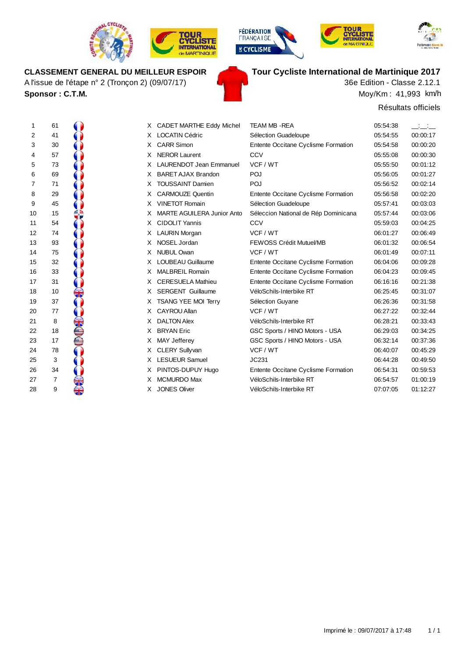

A l'issue de l'étape n° 2 (Tronçon 2) (09/07/17)









# **CLASSEMENT GENERAL DU MEILLEUR ESPOIR Tour Cycliste International de Martinique 2017**

Moy/Km : 41,993 km/h 36e Edition - Classe 2.12.1

Résultats officiels

| $\ddot{\phantom{0}}$       | 61                                               |                                                                     |
|----------------------------|--------------------------------------------------|---------------------------------------------------------------------|
| $\overline{\mathbf{c}}$    | 41                                               |                                                                     |
|                            | 30                                               |                                                                     |
|                            |                                                  |                                                                     |
| 3 4 5 6 7 8 9              | 57<br>73                                         |                                                                     |
|                            |                                                  |                                                                     |
|                            |                                                  |                                                                     |
|                            |                                                  |                                                                     |
|                            |                                                  |                                                                     |
| 10                         | 69<br>71<br>29<br>45<br>15                       |                                                                     |
| 11                         |                                                  |                                                                     |
| 12                         | 54<br>74<br>93<br>75                             |                                                                     |
| 13                         |                                                  |                                                                     |
| 14                         |                                                  |                                                                     |
| 15                         |                                                  |                                                                     |
| 16                         | 32<br>33<br>31                                   |                                                                     |
| 17                         |                                                  |                                                                     |
| 18                         |                                                  |                                                                     |
| 19                         | 10<br>37<br>77                                   |                                                                     |
|                            |                                                  |                                                                     |
|                            | 8                                                |                                                                     |
|                            | 18                                               |                                                                     |
|                            | 17                                               |                                                                     |
|                            | 78                                               |                                                                     |
| 20 21 22 23 24 25 26 27 28 |                                                  | <b>NANO COMPANY CONTRACTORY CONTRACTORY CONTRACTORY CONTRACTORY</b> |
|                            | $\begin{array}{c} 3 \\ 34 \\ 7 \\ 9 \end{array}$ |                                                                     |
|                            |                                                  |                                                                     |
|                            |                                                  |                                                                     |

**Sponsor : C.T.M.**

| 1  | 61             |    | X CADET MARTHE Eddy Michel     | <b>TEAM MB - REA</b>                 | 05:54:38 |          |
|----|----------------|----|--------------------------------|--------------------------------------|----------|----------|
| 2  | 41             | X  | <b>LOCATIN Cédric</b>          | Sélection Guadeloupe                 | 05:54:55 | 00:00:17 |
| 3  | 30             | X. | <b>CARR Simon</b>              | Entente Occitane Cyclisme Formation  | 05:54:58 | 00:00:20 |
| 4  | 57             |    | <b>NEROR Laurent</b>           | CCV                                  | 05:55:08 | 00:00:30 |
| 5  | 73             |    | <b>LAURENDOT Jean Emmanuel</b> | VCF / WT                             | 05:55:50 | 00:01:12 |
| 6  | 69             | X  | <b>BARET AJAX Brandon</b>      | POJ                                  | 05:56:05 | 00:01:27 |
| 7  | 71             |    | <b>TOUSSAINT Damien</b>        | POJ                                  | 05:56:52 | 00:02:14 |
| 8  | 29             | X  | <b>CARMOUZE Quentin</b>        | Entente Occitane Cyclisme Formation  | 05:56:58 | 00:02:20 |
| 9  | 45             |    | <b>VINETOT Romain</b>          | Sélection Guadeloupe                 | 05:57:41 | 00:03:03 |
| 10 | 15             | х  | MARTE AGUILERA Junior Anto     | Séleccion National de Rép Dominicana | 05.57.44 | 00:03:06 |
| 11 | 54             | X  | <b>CIDOLIT Yannis</b>          | CCV                                  | 05:59:03 | 00:04:25 |
| 12 | 74             | X  | <b>LAURIN Morgan</b>           | VCF / WT                             | 06:01:27 | 00:06:49 |
| 13 | 93             | X  | NOSEL Jordan                   | FEWOSS Crédit Mutuel/MB              | 06:01:32 | 00:06:54 |
| 14 | 75             | х  | <b>NUBUL Owan</b>              | VCF / WT                             | 06:01:49 | 00:07:11 |
| 15 | 32             |    | <b>LOUBEAU Guillaume</b>       | Entente Occitane Cyclisme Formation  | 06:04:06 | 00:09:28 |
| 16 | 33             | X  | <b>MALBREIL Romain</b>         | Entente Occitane Cyclisme Formation  | 06:04:23 | 00:09:45 |
| 17 | 31             |    | <b>CERESUELA Mathieu</b>       | Entente Occitane Cyclisme Formation  | 06:16:16 | 00:21:38 |
| 18 | 10             | X. | <b>SERGENT Guillaume</b>       | VéloSchils-Interbike RT              | 06:25:45 | 00:31:07 |
| 19 | 37             | X  | <b>TSANG YEE MOI Terry</b>     | Sélection Guyane                     | 06:26:36 | 00:31:58 |
| 20 | 77             | X. | <b>CAYROU Allan</b>            | VCF / WT                             | 06:27:22 | 00:32:44 |
| 21 | 8              |    | <b>DALTON Alex</b>             | VéloSchils-Interbike RT              | 06:28:21 | 00:33:43 |
| 22 | 18             | X  | <b>BRYAN</b> Eric              | GSC Sports / HINO Motors - USA       | 06:29:03 | 00:34:25 |
| 23 | 17             | X  | <b>MAY Jefferey</b>            | GSC Sports / HINO Motors - USA       | 06:32:14 | 00:37:36 |
| 24 | 78             | X. | <b>CLERY Sullyvan</b>          | VCF / WT                             | 06:40:07 | 00:45:29 |
| 25 | 3              | X  | <b>LESUEUR Samuel</b>          | JC231                                | 06:44:28 | 00:49:50 |
| 26 | 34             | X  | PINTOS-DUPUY Hugo              | Entente Occitane Cyclisme Formation  | 06:54:31 | 00:59:53 |
| 27 | $\overline{7}$ |    | <b>MCMURDO Max</b>             | VéloSchils-Interbike RT              | 06:54:57 | 01:00:19 |
| 28 | 9              | X. | <b>JONES Oliver</b>            | VéloSchils-Interbike RT              | 07:07:05 | 01:12:27 |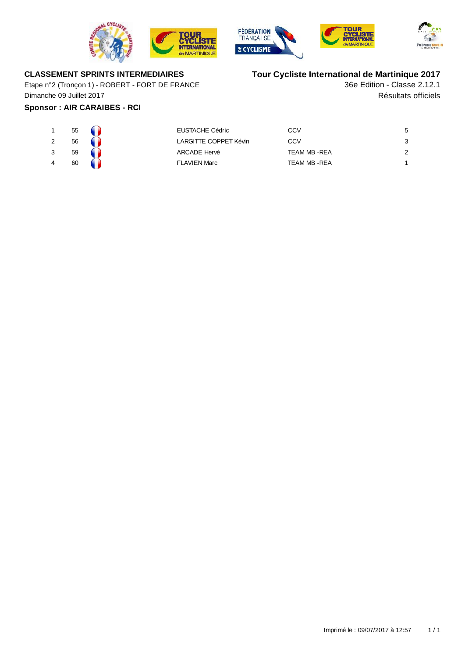







# **CLASSEMENT SPRINTS INTERMEDIAIRES**

Etape n°2 (Tronçon 1) - ROBERT - FORT DE FRANCE Dimanche 09 Juillet 2017

# **Sponsor : AIR CARAIBES - RCI**

# **Tour Cycliste International de Martinique 2017**

Résultats officiels 36e Edition - Classe 2.12.1

| 55 | <b>EUSTACHE Cédric</b> | CCV                  | 5 |
|----|------------------------|----------------------|---|
| 56 | LARGITTE COPPET Kévin  | CCV                  | 3 |
| 59 | ARCADE Hervé           | <b>TEAM MB - REA</b> | 2 |
| 60 | FLAVIEN Marc           | TEAM MB -REA         |   |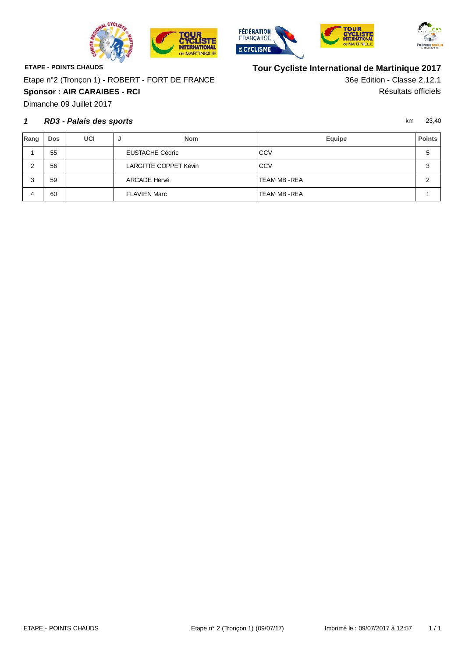





**ETAPE - POINTS CHAUDS Sponsor : AIR CARAIBES - RCI** Résultats officiels Etape n°2 (Tronçon 1) - ROBERT - FORT DE FRANCE

Dimanche 09 Juillet 2017

### **1** km 23,40 **RD3 - Palais des sports**

**Tour Cycliste International de Martinique 2017**

36e Edition - Classe 2.12.1

| Rang | <b>Dos</b> | UCI | <b>Nom</b><br>х.      | Equipe               | <b>Points</b> |
|------|------------|-----|-----------------------|----------------------|---------------|
|      | 55         |     | EUSTACHE Cédric       | <b>ICCV</b>          | 5             |
|      | 56         |     | LARGITTE COPPET Kévin | <b>CCV</b>           | 3             |
|      | 59         |     | ARCADE Hervé          | <b>TEAM MB - REA</b> | c             |
|      | 60         |     | <b>FLAVIEN Marc</b>   | TEAM MB -REA         |               |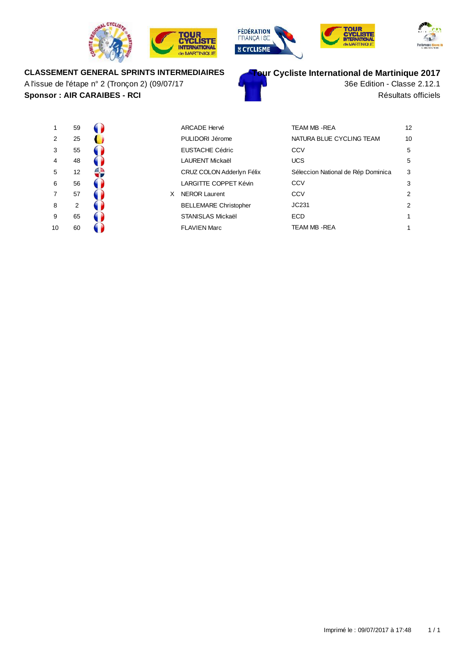







# **CLASSEMENT GENERAL SPRINTS INTERMEDIAIRES**

**Sponsor : AIR CARAIBES - RCI** Résultats officiels A l'issue de l'étape n° 2 (Tronçon 2) (09/07/17



36e Edition - Classe 2.12.1

| 1                       | 59             |  |
|-------------------------|----------------|--|
| $\overline{c}$          | 25             |  |
| 3                       | 55             |  |
| $\overline{\mathbf{4}}$ | 48             |  |
| 5                       | 12             |  |
| 6                       | 56             |  |
| $\overline{7}$          | 57             |  |
| 8                       | $\overline{2}$ |  |
| 9                       | 65             |  |
| 10                      | 60             |  |

| 1              | 59 |    |   | <b>ARCADE Hervé</b>          | <b>TEAM MB - REA</b>               | 12 |
|----------------|----|----|---|------------------------------|------------------------------------|----|
| $\overline{2}$ | 25 |    |   | PULIDORI Jérome              | NATURA BLUE CYCLING TEAM           | 10 |
| 3              | 55 |    |   | <b>EUSTACHE Cédric</b>       | CCV                                | 5  |
| 4              | 48 |    |   | <b>LAURENT Mickaël</b>       | <b>UCS</b>                         | 5  |
| 5              | 12 | 52 |   | CRUZ COLON Adderlyn Félix    | Séleccion National de Rép Dominica | 3  |
| 6              | 56 |    |   | LARGITTE COPPET Kévin        | CCV                                | 3  |
| 7              | 57 |    | X | <b>NEROR Laurent</b>         | CCV                                | 2  |
| 8              | 2  |    |   | <b>BELLEMARE Christopher</b> | JC231                              | 2  |
| 9              | 65 |    |   | <b>STANISLAS Mickaël</b>     | <b>ECD</b>                         | 1  |
| 10             | 60 |    |   | <b>FLAVIEN Marc</b>          | TEAM MB - REA                      | 1  |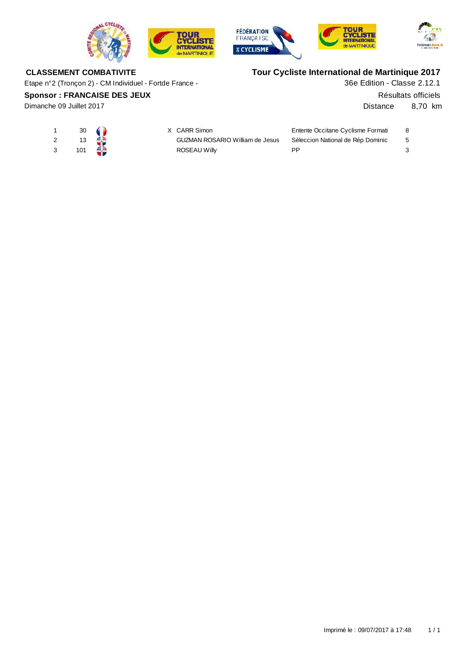







# **CLASSEMENT COMBATIVITE**

Etape n°2 (Tronçon 2) - CM Individuel - Fortde France -

### **Sponsor : FRANCAISE DES JEUX**

Dimanche 09 Juillet 2017

# **Tour Cycliste International de Martinique 2017**

36e Edition - Classe 2.12.1

Résultats officiels

Distance 8,70 km

|     | $30 \quad \bullet$ | X CARR Simon                           | Entente Occitane Cyclisme Formati |     |
|-----|--------------------|----------------------------------------|-----------------------------------|-----|
| 13  |                    | <b>GUZMAN ROSARIO William de Jesus</b> | Séleccion National de Rép Dominic | - 5 |
| 101 |                    | ROSEAU Willy                           | ΡP                                |     |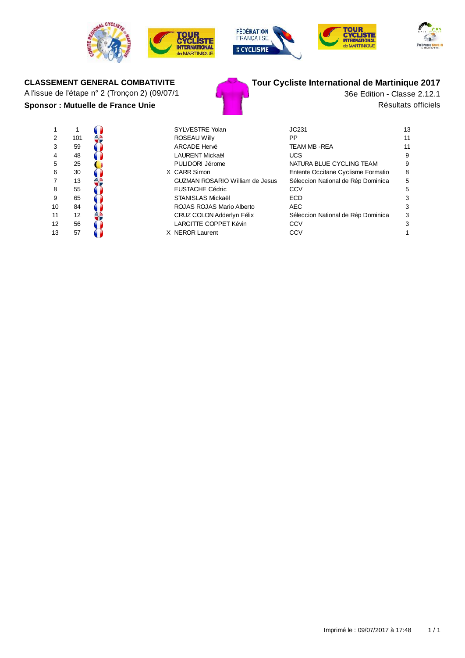









# A l'issue de l'étape n° 2 (Tronçon 2) (09/07/1  $\blacksquare$  36e Edition - Classe 2.12.1



# **CLASSEMENT GENERAL COMBATIVITE Tour Cycliste International de Martinique 2017**

**Sponsor : Mutuelle de France Unie** Résultats officiels

| 1              | 1   |  |
|----------------|-----|--|
| $\overline{2}$ | 101 |  |
| 3              | 59  |  |
| 4              | 48  |  |
| 5              | 25  |  |
| 6              | 30  |  |
| 7              | 13  |  |
| 8              | 55  |  |
| 9              | 65  |  |
| 10             | 84  |  |
| 11             | 12  |  |
| 12             | 56  |  |
| 13             | 57  |  |

| $\mathbf 1$ |     |  | <b>SYLVESTRE Yolan</b>                 | JC231                              | 13 |
|-------------|-----|--|----------------------------------------|------------------------------------|----|
| 2           | 101 |  | <b>ROSEAU Willy</b>                    | PP                                 | 11 |
| 3           | 59  |  | <b>ARCADE Hervé</b>                    | TEAM MB -REA                       | 11 |
| 4           | 48  |  | LAURENT Mickaël                        | <b>UCS</b>                         | 9  |
| 5           | 25  |  | PULIDORI Jérome                        | NATURA BLUE CYCLING TEAM           | 9  |
| 6           | 30  |  | X CARR Simon                           | Entente Occitane Cyclisme Formatio | 8  |
| 7           | 13  |  | <b>GUZMAN ROSARIO William de Jesus</b> | Séleccion National de Rép Dominica | 5  |
| 8           | 55  |  | <b>EUSTACHE Cédric</b>                 | CCV                                | 5  |
| 9           | 65  |  | STANISLAS Mickaël                      | <b>ECD</b>                         | 3  |
| 10          | 84  |  | ROJAS ROJAS Mario Alberto              | <b>AEC</b>                         | 3  |
| 11          | 12  |  | CRUZ COLON Adderlyn Félix              | Séleccion National de Rép Dominica | 3  |
| 12          | 56  |  | LARGITTE COPPET Kévin                  | CCV                                | 3  |
| 13          | 57  |  | X NEROR Laurent                        | CCV                                |    |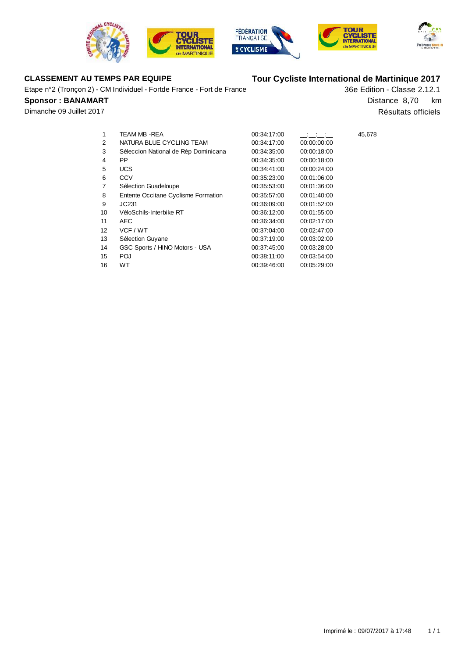







Etape n°2 (Tronçon 2) - CM Individuel - Fortde France - Fort de France

### **Sponsor : BANAMART**

Dimanche 09 Juillet 2017

# **CLASSEMENT AU TEMPS PAR EQUIPE Tour Cycliste International de Martinique 2017**

36e Edition - Classe 2.12.1 Résultats officiels Distance 8,70 km

| 1  | TEAM MB -REA                         | 00:34:17:00 | <u>and a state</u> | 45,678 |
|----|--------------------------------------|-------------|--------------------|--------|
| 2  | NATURA BLUE CYCLING TEAM             | 00:34:17:00 | 00:00:00:00        |        |
| 3  | Séleccion National de Rép Dominicana | 00:34:35:00 | 00:00:18:00        |        |
| 4  | <b>PP</b>                            | 00:34:35:00 | 00:00:18:00        |        |
| 5  | <b>UCS</b>                           | 00:34:41:00 | 00:00:24:00        |        |
| 6  | CCV                                  | 00:35:23:00 | 00:01:06:00        |        |
| 7  | Sélection Guadeloupe                 | 00:35:53:00 | 00:01:36:00        |        |
| 8  | Entente Occitane Cyclisme Formation  | 00:35:57:00 | 00:01:40:00        |        |
| 9  | JC231                                | 00:36:09:00 | 00:01:52:00        |        |
| 10 | VéloSchils-Interbike RT              | 00:36:12:00 | 00:01:55:00        |        |
| 11 | <b>AEC</b>                           | 00:36:34:00 | 00:02:17:00        |        |
| 12 | VCF / WT                             | 00:37:04:00 | 00:02:47:00        |        |
| 13 | Sélection Guyane                     | 00:37:19:00 | 00:03:02:00        |        |
| 14 | GSC Sports / HINO Motors - USA       | 00:37:45:00 | 00:03:28:00        |        |
| 15 | POJ                                  | 00:38:11:00 | 00:03:54:00        |        |
| 16 | WT                                   | 00:39:46:00 | 00:05:29:00        |        |
|    |                                      |             |                    |        |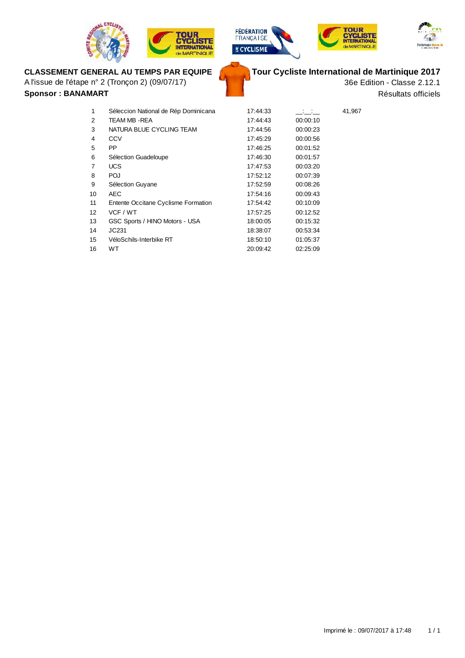









# **CLASSEMENT GENERAL AU TEMPS PAR EQUIPE**

A l'issue de l'étape n° 2 (Tronçon 2) (09/07/17)

**Sponsor : BANAMART**

**Tour Cycliste International de Martinique 2017**

36e Edition - Classe 2.12.1 Résultats officiels

| 1  | Séleccion National de Rép Dominicana | 17:44:33 | <b>Contract</b> | 41,967 |
|----|--------------------------------------|----------|-----------------|--------|
| 2  | TEAM MB -REA                         | 17:44:43 | 00:00:10        |        |
| 3  | NATURA BLUE CYCLING TEAM             | 17:44:56 | 00:00:23        |        |
| 4  | CCV                                  | 17:45:29 | 00:00:56        |        |
| 5  | <b>PP</b>                            | 17:46:25 | 00:01:52        |        |
| 6  | Sélection Guadeloupe                 | 17:46:30 | 00:01:57        |        |
| 7  | <b>UCS</b>                           | 17:47:53 | 00:03:20        |        |
| 8  | POJ                                  | 17:52:12 | 00:07:39        |        |
| 9  | Sélection Guyane                     | 17:52:59 | 00:08:26        |        |
| 10 | <b>AEC</b>                           | 17:54:16 | 00:09:43        |        |
| 11 | Entente Occitane Cyclisme Formation  | 17:54:42 | 00:10:09        |        |
| 12 | VCF / WT                             | 17:57:25 | 00:12:52        |        |
| 13 | GSC Sports / HINO Motors - USA       | 18:00:05 | 00:15:32        |        |
| 14 | JC231                                | 18:38:07 | 00:53:34        |        |
| 15 | VéloSchils-Interbike RT              | 18:50:10 | 01:05:37        |        |
| 16 | WT                                   | 20:09:42 | 02:25:09        |        |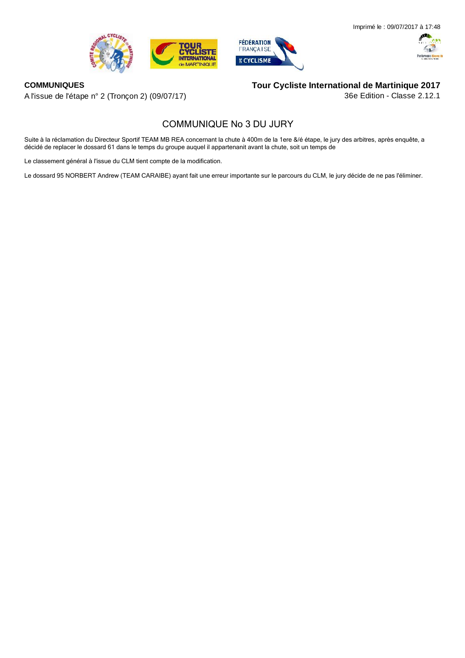





#### **COMMUNIQUES**

A l'issue de l'étape n° 2 (Tronçon 2) (09/07/17)

# **Tour Cycliste International de Martinique 2017**

36e Edition - Classe 2.12.1

# **COMMUNIQUE No 3 DU JURY**

Suite à la réclamation du Directeur Sportif TEAM MB REA concernant la chute à 400m de la 1ere &/é étape, le jury des arbitres, après enquête, a décidé de replacer le dossard 61 dans le temps du groupe auquel il appartenanit avant la chute, soit un temps de

Le classement général à l'issue du CLM tient compte de la modification.

Le dossard 95 NORBERT Andrew (TEAM CARAIBE) ayant fait une erreur importante sur le parcours du CLM, le jury décide de ne pas l'éliminer.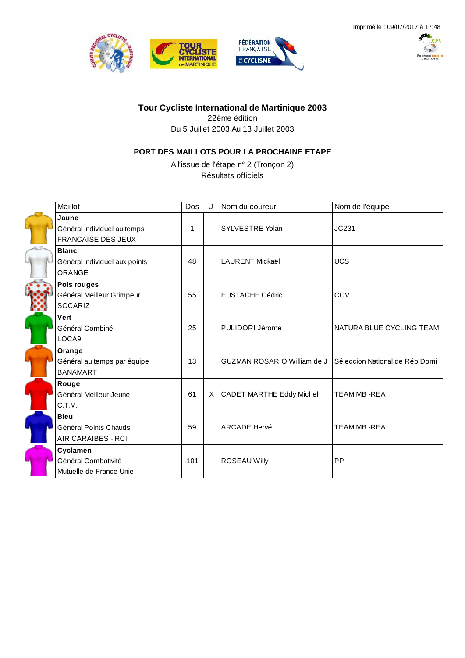





# **Tour Cycliste International de Martinique 2003**

22ème édition

Du 5 Juillet 2003 Au 13 Juillet 2003

# **PORT DES MAILLOTS POUR LA PROCHAINE ETAPE**

A l'issue de l'étape n° 2 (Tronçon 2) Résultats officiels

| Maillot                                                           | Dos | Nom du coureur              | Nom de l'équipe                |
|-------------------------------------------------------------------|-----|-----------------------------|--------------------------------|
| Jaune<br>Général individuel au temps<br><b>FRANCAISE DES JEUX</b> | 1   | SYLVESTRE Yolan             | JC231                          |
| <b>Blanc</b><br>Général individuel aux points<br><b>ORANGE</b>    | 48  | <b>LAURENT Mickaël</b>      | <b>UCS</b>                     |
| Pois rouges<br>Général Meilleur Grimpeur<br><b>SOCARIZ</b>        | 55  | <b>EUSTACHE Cédric</b>      | CCV                            |
| Vert<br>Général Combiné<br>LOCA9                                  | 25  | PULIDORI Jérome             | NATURA BLUE CYCLING TEAM       |
| Orange<br>Général au temps par équipe<br><b>BANAMART</b>          | 13  | GUZMAN ROSARIO William de J | Séleccion National de Rép Domi |
| Rouge<br>Général Meilleur Jeune<br>C.T.M.                         | 61  | X CADET MARTHE Eddy Michel  | <b>TEAM MB-REA</b>             |
| <b>Bleu</b><br>Général Points Chauds<br>AIR CARAIBES - RCI        | 59  | <b>ARCADE Hervé</b>         | <b>TEAM MB-REA</b>             |
| Cyclamen<br>Général Combativité<br>Mutuelle de France Unie        | 101 | <b>ROSEAU Willy</b>         | PP                             |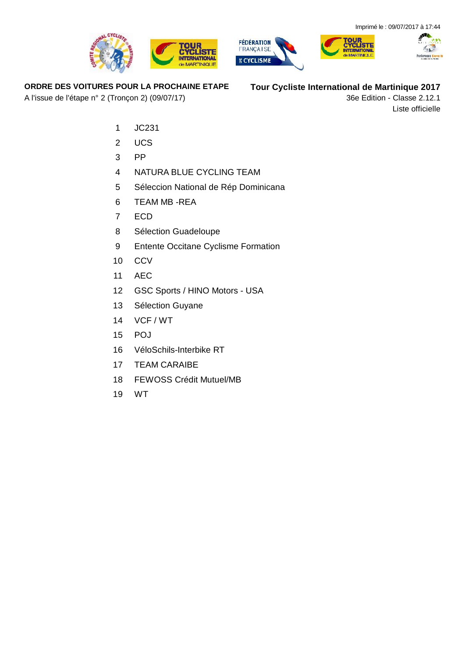





**ORDRE DES VOITURES POUR LA PROCHAINE ETAPE**

A l'issue de l'étape n° 2 (Tronçon 2) (09/07/17)

**Tour Cycliste International de Martinique 2017**

36e Edition - Classe 2.12.1 Liste officielle

- JC231
- UCS
- PP
- NATURA BLUE CYCLING TEAM
- Séleccion National de Rép Dominicana

**CYCLISTE** 

**INTERNATIONAL** 

- TEAM MB -REA
- ECD
- Sélection Guadeloupe
- Entente Occitane Cyclisme Formation
- CCV
- AEC
- GSC Sports / HINO Motors USA
- Sélection Guyane
- VCF / WT
- POJ
- VéloSchils-Interbike RT
- TEAM CARAIBE
- FEWOSS Crédit Mutuel/MB
- WT